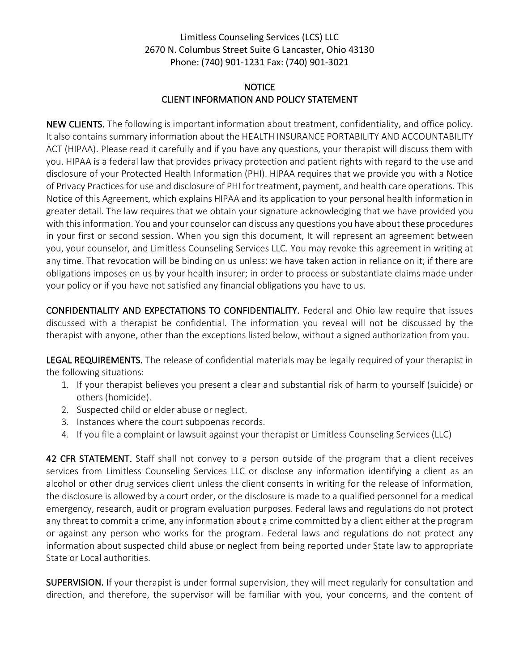### **NOTICE** CLIENT INFORMATION AND POLICY STATEMENT

NEW CLIENTS. The following is important information about treatment, confidentiality, and office policy. It also contains summary information about the HEALTH INSURANCE PORTABILITY AND ACCOUNTABILITY ACT (HIPAA). Please read it carefully and if you have any questions, your therapist will discuss them with you. HIPAA is a federal law that provides privacy protection and patient rights with regard to the use and disclosure of your Protected Health Information (PHI). HIPAA requires that we provide you with a Notice of Privacy Practices for use and disclosure of PHI for treatment, payment, and health care operations. This Notice of this Agreement, which explains HIPAA and its application to your personal health information in greater detail. The law requires that we obtain your signature acknowledging that we have provided you with this information. You and your counselor can discuss any questions you have about these procedures in your first or second session. When you sign this document, It will represent an agreement between you, your counselor, and Limitless Counseling Services LLC. You may revoke this agreement in writing at any time. That revocation will be binding on us unless: we have taken action in reliance on it; if there are obligations imposes on us by your health insurer; in order to process or substantiate claims made under your policy or if you have not satisfied any financial obligations you have to us.

CONFIDENTIALITY AND EXPECTATIONS TO CONFIDENTIALITY. Federal and Ohio law require that issues discussed with a therapist be confidential. The information you reveal will not be discussed by the therapist with anyone, other than the exceptions listed below, without a signed authorization from you.

LEGAL REQUIREMENTS. The release of confidential materials may be legally required of your therapist in the following situations:

- 1. If your therapist believes you present a clear and substantial risk of harm to yourself (suicide) or others (homicide).
- 2. Suspected child or elder abuse or neglect.
- 3. Instances where the court subpoenas records.
- 4. If you file a complaint or lawsuit against your therapist or Limitless Counseling Services (LLC)

42 CFR STATEMENT. Staff shall not convey to a person outside of the program that a client receives services from Limitless Counseling Services LLC or disclose any information identifying a client as an alcohol or other drug services client unless the client consents in writing for the release of information, the disclosure is allowed by a court order, or the disclosure is made to a qualified personnel for a medical emergency, research, audit or program evaluation purposes. Federal laws and regulations do not protect any threat to commit a crime, any information about a crime committed by a client either at the program or against any person who works for the program. Federal laws and regulations do not protect any information about suspected child abuse or neglect from being reported under State law to appropriate State or Local authorities.

SUPERVISION. If your therapist is under formal supervision, they will meet regularly for consultation and direction, and therefore, the supervisor will be familiar with you, your concerns, and the content of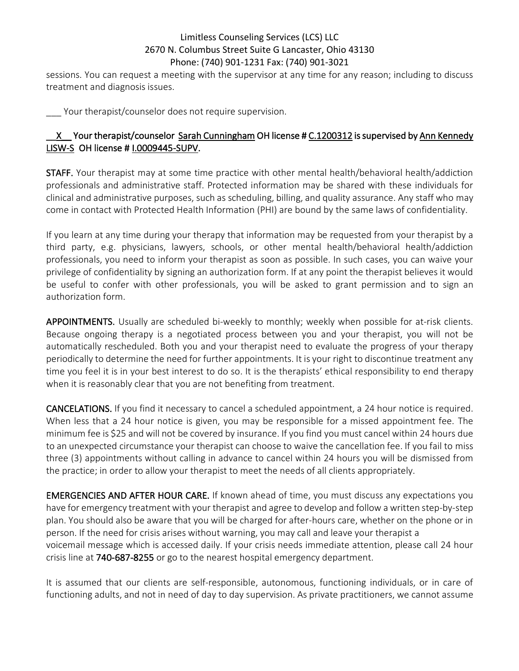sessions. You can request a meeting with the supervisor at any time for any reason; including to discuss treatment and diagnosis issues.

\_\_\_ Your therapist/counselor does not require supervision.

# X Your therapist/counselor Sarah Cunningham OH license # C.1200312 is supervised by Ann Kennedy LISW-S OH license # 1.0009445-SUPV.

STAFF. Your therapist may at some time practice with other mental health/behavioral health/addiction professionals and administrative staff. Protected information may be shared with these individuals for clinical and administrative purposes, such as scheduling, billing, and quality assurance. Any staff who may come in contact with Protected Health Information (PHI) are bound by the same laws of confidentiality.

If you learn at any time during your therapy that information may be requested from your therapist by a third party, e.g. physicians, lawyers, schools, or other mental health/behavioral health/addiction professionals, you need to inform your therapist as soon as possible. In such cases, you can waive your privilege of confidentiality by signing an authorization form. If at any point the therapist believes it would be useful to confer with other professionals, you will be asked to grant permission and to sign an authorization form.

APPOINTMENTS. Usually are scheduled bi-weekly to monthly; weekly when possible for at-risk clients. Because ongoing therapy is a negotiated process between you and your therapist, you will not be automatically rescheduled. Both you and your therapist need to evaluate the progress of your therapy periodically to determine the need for further appointments. It is your right to discontinue treatment any time you feel it is in your best interest to do so. It is the therapists' ethical responsibility to end therapy when it is reasonably clear that you are not benefiting from treatment.

CANCELATIONS. If you find it necessary to cancel a scheduled appointment, a 24 hour notice is required. When less that a 24 hour notice is given, you may be responsible for a missed appointment fee. The minimum fee is \$25 and will not be covered by insurance. If you find you must cancel within 24 hours due to an unexpected circumstance your therapist can choose to waive the cancellation fee. If you fail to miss three (3) appointments without calling in advance to cancel within 24 hours you will be dismissed from the practice; in order to allow your therapist to meet the needs of all clients appropriately.

EMERGENCIES AND AFTER HOUR CARE. If known ahead of time, you must discuss any expectations you have for emergency treatment with your therapist and agree to develop and follow a written step-by-step plan. You should also be aware that you will be charged for after-hours care, whether on the phone or in person. If the need for crisis arises without warning, you may call and leave your therapist a voicemail message which is accessed daily. If your crisis needs immediate attention, please call 24 hour crisis line at 740-687-8255 or go to the nearest hospital emergency department.

It is assumed that our clients are self-responsible, autonomous, functioning individuals, or in care of functioning adults, and not in need of day to day supervision. As private practitioners, we cannot assume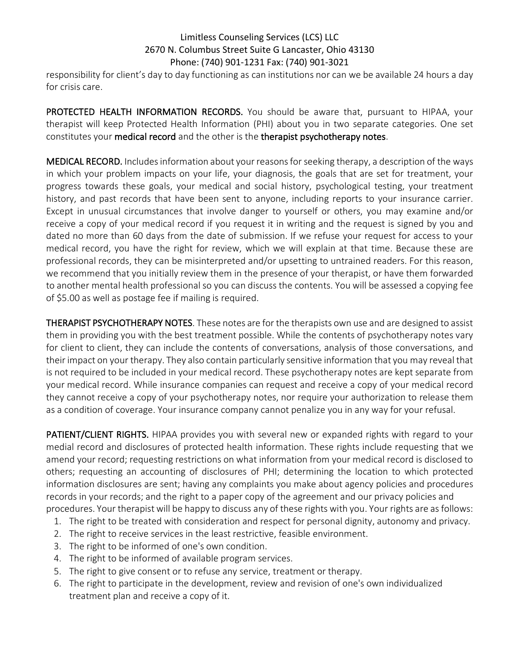responsibility for client's day to day functioning as can institutions nor can we be available 24 hours a day for crisis care.

PROTECTED HEALTH INFORMATION RECORDS. You should be aware that, pursuant to HIPAA, your therapist will keep Protected Health Information (PHI) about you in two separate categories. One set constitutes your medical record and the other is the therapist psychotherapy notes.

MEDICAL RECORD. Includes information about your reasons for seeking therapy, a description of the ways in which your problem impacts on your life, your diagnosis, the goals that are set for treatment, your progress towards these goals, your medical and social history, psychological testing, your treatment history, and past records that have been sent to anyone, including reports to your insurance carrier. Except in unusual circumstances that involve danger to yourself or others, you may examine and/or receive a copy of your medical record if you request it in writing and the request is signed by you and dated no more than 60 days from the date of submission. If we refuse your request for access to your medical record, you have the right for review, which we will explain at that time. Because these are professional records, they can be misinterpreted and/or upsetting to untrained readers. For this reason, we recommend that you initially review them in the presence of your therapist, or have them forwarded to another mental health professional so you can discuss the contents. You will be assessed a copying fee of \$5.00 as well as postage fee if mailing is required.

THERAPIST PSYCHOTHERAPY NOTES. These notes are for the therapists own use and are designed to assist them in providing you with the best treatment possible. While the contents of psychotherapy notes vary for client to client, they can include the contents of conversations, analysis of those conversations, and their impact on your therapy. They also contain particularly sensitive information that you may reveal that is not required to be included in your medical record. These psychotherapy notes are kept separate from your medical record. While insurance companies can request and receive a copy of your medical record they cannot receive a copy of your psychotherapy notes, nor require your authorization to release them as a condition of coverage. Your insurance company cannot penalize you in any way for your refusal.

PATIENT/CLIENT RIGHTS. HIPAA provides you with several new or expanded rights with regard to your medial record and disclosures of protected health information. These rights include requesting that we amend your record; requesting restrictions on what information from your medical record is disclosed to others; requesting an accounting of disclosures of PHI; determining the location to which protected information disclosures are sent; having any complaints you make about agency policies and procedures records in your records; and the right to a paper copy of the agreement and our privacy policies and procedures. Your therapist will be happy to discuss any of these rights with you. Your rights are as follows:

- 1. The right to be treated with consideration and respect for personal dignity, autonomy and privacy.
- 2. The right to receive services in the least restrictive, feasible environment.
- 3. The right to be informed of one's own condition.
- 4. The right to be informed of available program services.
- 5. The right to give consent or to refuse any service, treatment or therapy.
- 6. The right to participate in the development, review and revision of one's own individualized treatment plan and receive a copy of it.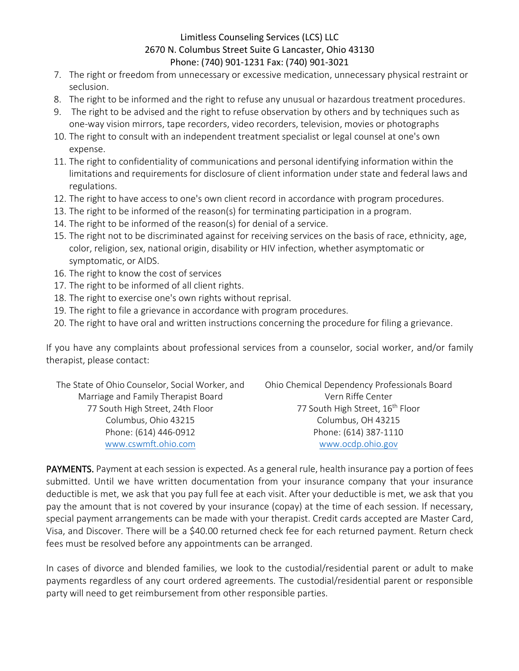- 7. The right or freedom from unnecessary or excessive medication, unnecessary physical restraint or seclusion.
- 8. The right to be informed and the right to refuse any unusual or hazardous treatment procedures.
- 9. The right to be advised and the right to refuse observation by others and by techniques such as one-way vision mirrors, tape recorders, video recorders, television, movies or photographs
- 10. The right to consult with an independent treatment specialist or legal counsel at one's own expense.
- 11. The right to confidentiality of communications and personal identifying information within the limitations and requirements for disclosure of client information under state and federal laws and regulations.
- 12. The right to have access to one's own client record in accordance with program procedures.
- 13. The right to be informed of the reason(s) for terminating participation in a program.
- 14. The right to be informed of the reason(s) for denial of a service.
- 15. The right not to be discriminated against for receiving services on the basis of race, ethnicity, age, color, religion, sex, national origin, disability or HIV infection, whether asymptomatic or symptomatic, or AIDS.
- 16. The right to know the cost of services
- 17. The right to be informed of all client rights.
- 18. The right to exercise one's own rights without reprisal.
- 19. The right to file a grievance in accordance with program procedures.
- 20. The right to have oral and written instructions concerning the procedure for filing a grievance.

If you have any complaints about professional services from a counselor, social worker, and/or family therapist, please contact:

| The State of Ohio Counselor, Social Worker, and | Ohio Chemical Dependency Professionals Board |
|-------------------------------------------------|----------------------------------------------|
| Marriage and Family Therapist Board             | Vern Riffe Center                            |
| 77 South High Street, 24th Floor                | 77 South High Street, 16 <sup>th</sup> Floor |
| Columbus, Ohio 43215                            | Columbus, OH 43215                           |
| Phone: (614) 446-0912                           | Phone: (614) 387-1110                        |
| www.cswmft.ohio.com                             | www.ocdp.ohio.gov                            |

PAYMENTS. Payment at each session is expected. As a general rule, health insurance pay a portion of fees submitted. Until we have written documentation from your insurance company that your insurance deductible is met, we ask that you pay full fee at each visit. After your deductible is met, we ask that you pay the amount that is not covered by your insurance (copay) at the time of each session. If necessary, special payment arrangements can be made with your therapist. Credit cards accepted are Master Card, Visa, and Discover. There will be a \$40.00 returned check fee for each returned payment. Return check fees must be resolved before any appointments can be arranged.

In cases of divorce and blended families, we look to the custodial/residential parent or adult to make payments regardless of any court ordered agreements. The custodial/residential parent or responsible party will need to get reimbursement from other responsible parties.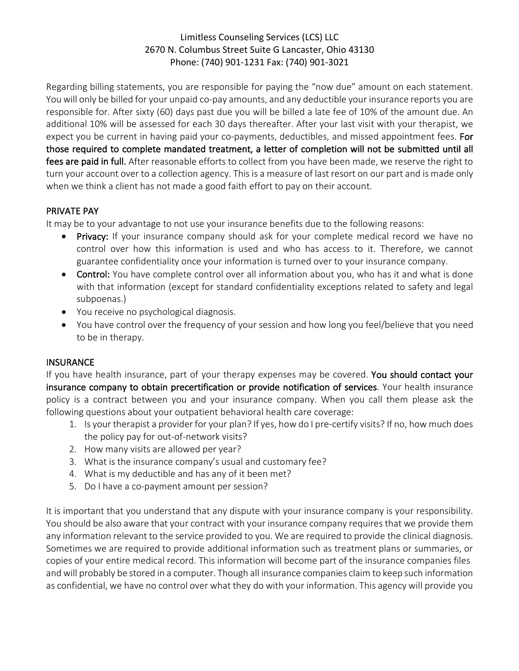Regarding billing statements, you are responsible for paying the "now due" amount on each statement. You will only be billed for your unpaid co-pay amounts, and any deductible your insurance reports you are responsible for. After sixty (60) days past due you will be billed a late fee of 10% of the amount due. An additional 10% will be assessed for each 30 days thereafter. After your last visit with your therapist, we expect you be current in having paid your co-payments, deductibles, and missed appointment fees. For those required to complete mandated treatment, a letter of completion will not be submitted until all fees are paid in full. After reasonable efforts to collect from you have been made, we reserve the right to turn your account over to a collection agency. This is a measure of last resort on our part and is made only when we think a client has not made a good faith effort to pay on their account.

# PRIVATE PAY

It may be to your advantage to not use your insurance benefits due to the following reasons:

- Privacy: If your insurance company should ask for your complete medical record we have no control over how this information is used and who has access to it. Therefore, we cannot guarantee confidentiality once your information is turned over to your insurance company.
- Control: You have complete control over all information about you, who has it and what is done with that information (except for standard confidentiality exceptions related to safety and legal subpoenas.)
- You receive no psychological diagnosis.
- You have control over the frequency of your session and how long you feel/believe that you need to be in therapy.

#### INSURANCE

If you have health insurance, part of your therapy expenses may be covered. You should contact your insurance company to obtain precertification or provide notification of services. Your health insurance policy is a contract between you and your insurance company. When you call them please ask the following questions about your outpatient behavioral health care coverage:

- 1. Is your therapist a provider for your plan? If yes, how do I pre-certify visits? If no, how much does the policy pay for out-of-network visits?
- 2. How many visits are allowed per year?
- 3. What is the insurance company's usual and customary fee?
- 4. What is my deductible and has any of it been met?
- 5. Do I have a co-payment amount per session?

It is important that you understand that any dispute with your insurance company is your responsibility. You should be also aware that your contract with your insurance company requires that we provide them any information relevant to the service provided to you. We are required to provide the clinical diagnosis. Sometimes we are required to provide additional information such as treatment plans or summaries, or copies of your entire medical record. This information will become part of the insurance companies files and will probably be stored in a computer. Though all insurance companies claim to keep such information as confidential, we have no control over what they do with your information. This agency will provide you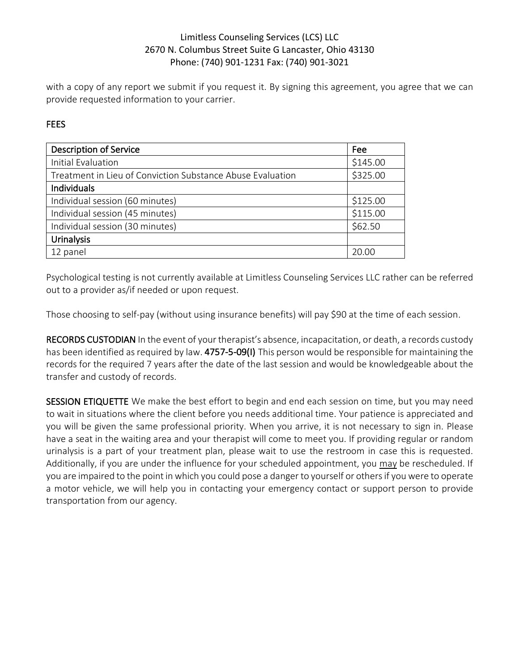with a copy of any report we submit if you request it. By signing this agreement, you agree that we can provide requested information to your carrier.

# FEES

| <b>Description of Service</b>                              | Fee      |
|------------------------------------------------------------|----------|
| Initial Evaluation                                         | \$145.00 |
| Treatment in Lieu of Conviction Substance Abuse Evaluation | \$325.00 |
| <b>Individuals</b>                                         |          |
| Individual session (60 minutes)                            | \$125.00 |
| Individual session (45 minutes)                            | \$115.00 |
| Individual session (30 minutes)                            | \$62.50  |
| <b>Urinalysis</b>                                          |          |
| 12 panel                                                   | 20.00    |

Psychological testing is not currently available at Limitless Counseling Services LLC rather can be referred out to a provider as/if needed or upon request.

Those choosing to self-pay (without using insurance benefits) will pay \$90 at the time of each session.

RECORDS CUSTODIAN In the event of your therapist's absence, incapacitation, or death, a records custody has been identified as required by law. 4757-5-09(I) This person would be responsible for maintaining the records for the required 7 years after the date of the last session and would be knowledgeable about the transfer and custody of records.

SESSION ETIQUETTE We make the best effort to begin and end each session on time, but you may need to wait in situations where the client before you needs additional time. Your patience is appreciated and you will be given the same professional priority. When you arrive, it is not necessary to sign in. Please have a seat in the waiting area and your therapist will come to meet you. If providing regular or random urinalysis is a part of your treatment plan, please wait to use the restroom in case this is requested. Additionally, if you are under the influence for your scheduled appointment, you may be rescheduled. If you are impaired to the point in which you could pose a danger to yourself or others if you were to operate a motor vehicle, we will help you in contacting your emergency contact or support person to provide transportation from our agency.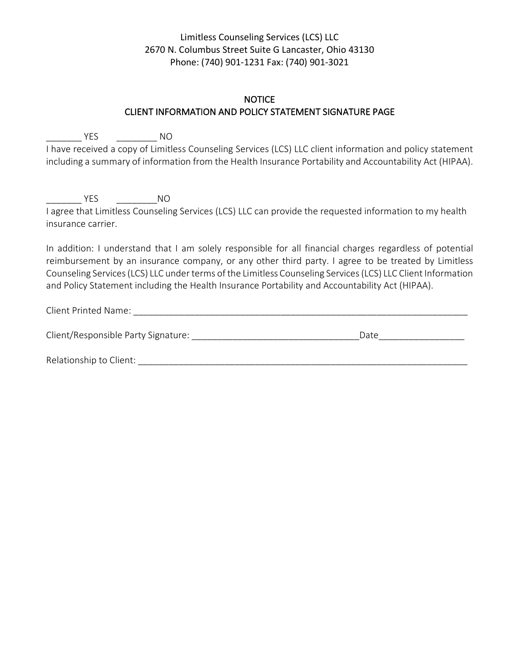#### NOTICE CLIENT INFORMATION AND POLICY STATEMENT SIGNATURE PAGE

\_\_\_\_\_\_\_ YES \_\_\_\_\_\_\_\_ NO

I have received a copy of Limitless Counseling Services (LCS) LLC client information and policy statement including a summary of information from the Health Insurance Portability and Accountability Act (HIPAA).

\_\_\_\_\_\_\_ YES \_\_\_\_\_\_\_\_NO I agree that Limitless Counseling Services (LCS) LLC can provide the requested information to my health insurance carrier.

In addition: I understand that I am solely responsible for all financial charges regardless of potential reimbursement by an insurance company, or any other third party. I agree to be treated by Limitless Counseling Services (LCS) LLC under terms of the Limitless Counseling Services (LCS) LLC Client Information and Policy Statement including the Health Insurance Portability and Accountability Act (HIPAA).

| Client Printed N<br>- INALLE<br>. |  |
|-----------------------------------|--|
|                                   |  |

| Client/Responsible Party Signature: |  |
|-------------------------------------|--|
|-------------------------------------|--|

Relationship to Client: \_\_\_\_\_\_\_\_\_\_\_\_\_\_\_\_\_\_\_\_\_\_\_\_\_\_\_\_\_\_\_\_\_\_\_\_\_\_\_\_\_\_\_\_\_\_\_\_\_\_\_\_\_\_\_\_\_\_\_\_\_\_\_\_\_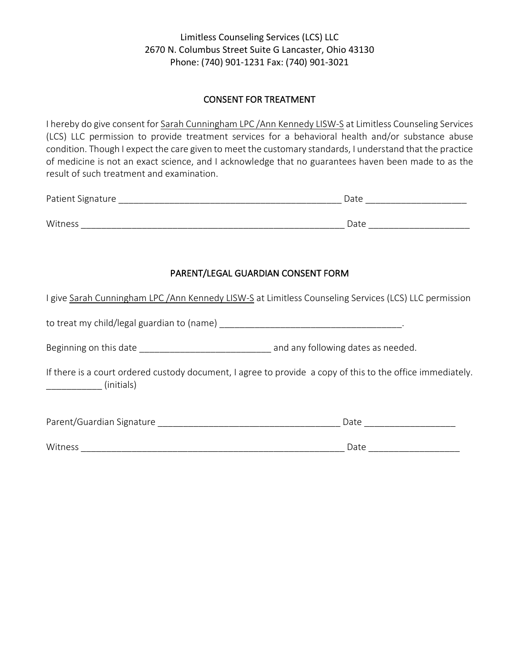#### CONSENT FOR TREATMENT

I hereby do give consent for Sarah Cunningham LPC/Ann Kennedy LISW-S at Limitless Counseling Services (LCS) LLC permission to provide treatment services for a behavioral health and/or substance abuse condition. Though I expect the care given to meet the customary standards, I understand that the practice of medicine is not an exact science, and I acknowledge that no guarantees haven been made to as the result of such treatment and examination.

| Patient Signature | Date |  |  |
|-------------------|------|--|--|
|                   |      |  |  |
| Witness           | Date |  |  |

#### PARENT/LEGAL GUARDIAN CONSENT FORM

I give Sarah Cunningham LPC /Ann Kennedy LISW-S at Limitless Counseling Services (LCS) LLC permission

to treat my child/legal guardian to (name) and the state of the state of the state of the state of the state o

Beginning on this date **Exercise 2 and any following dates as needed.** 

If there is a court ordered custody document, I agree to provide a copy of this to the office immediately.  $\qquad \qquad \text{(initials)}$ 

| -<br>---<br>۔ ب<br>∽י | ______________________ | ______________<br>______ |
|-----------------------|------------------------|--------------------------|
|                       |                        |                          |

Witness \_\_\_\_\_\_\_\_\_\_\_\_\_\_\_\_\_\_\_\_\_\_\_\_\_\_\_\_\_\_\_\_\_\_\_\_\_\_\_\_\_\_\_\_\_\_\_\_\_\_\_\_ Date \_\_\_\_\_\_\_\_\_\_\_\_\_\_\_\_\_\_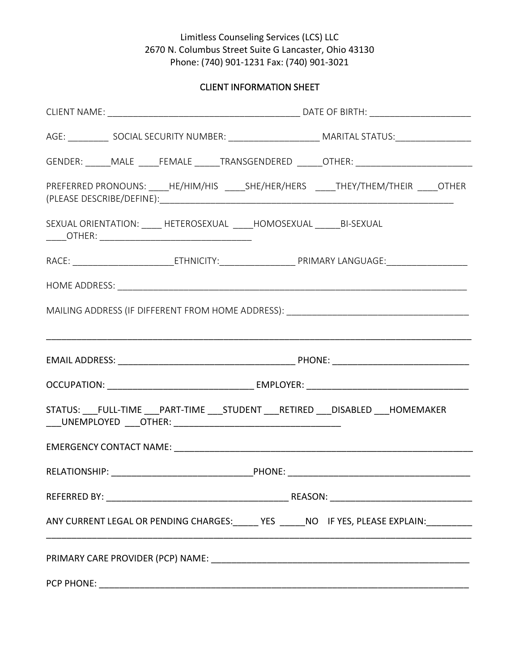# CLIENT INFORMATION SHEET

|                                                                               |  |  | AGE: _________________ SOCIAL SECURITY NUMBER: _________________________________MARITAL STATUS: ______________ |
|-------------------------------------------------------------------------------|--|--|----------------------------------------------------------------------------------------------------------------|
|                                                                               |  |  | GENDER: ______MALE _____FEMALE ______TRANSGENDERED ______OTHER: _________________                              |
|                                                                               |  |  | PREFERRED PRONOUNS: ____HE/HIM/HIS _____SHE/HER/HERS _____THEY/THEM/THEIR ____OTHER                            |
| SEXUAL ORIENTATION: _____ HETEROSEXUAL _____HOMOSEXUAL ______ BI-SEXUAL       |  |  |                                                                                                                |
|                                                                               |  |  |                                                                                                                |
|                                                                               |  |  |                                                                                                                |
|                                                                               |  |  | MAILING ADDRESS (IF DIFFERENT FROM HOME ADDRESS): _______________________________                              |
|                                                                               |  |  |                                                                                                                |
|                                                                               |  |  |                                                                                                                |
|                                                                               |  |  |                                                                                                                |
| STATUS: FULL-TIME    PART-TIME    STUDENT    RETIRED    DISABLED    HOMEMAKER |  |  |                                                                                                                |
|                                                                               |  |  |                                                                                                                |
|                                                                               |  |  |                                                                                                                |
|                                                                               |  |  |                                                                                                                |
|                                                                               |  |  | ANY CURRENT LEGAL OR PENDING CHARGES: _____ YES _____NO IF YES, PLEASE EXPLAIN: ________                       |
|                                                                               |  |  |                                                                                                                |
|                                                                               |  |  |                                                                                                                |